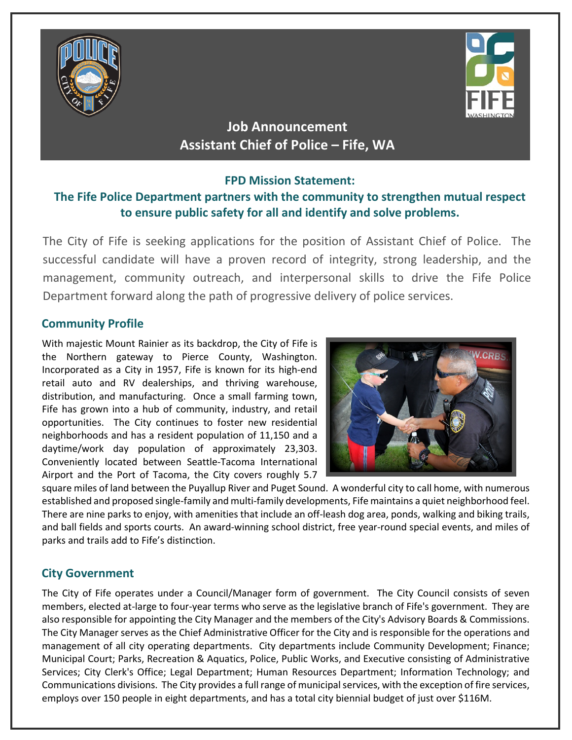



# **Job Announcement Assistant Chief of Police – Fife, WA**

# **FPD Mission Statement:**

# **The Fife Police Department partners with the community to strengthen mutual respect to ensure public safety for all and identify and solve problems.**

The City of Fife is seeking applications for the position of Assistant Chief of Police. The successful candidate will have a proven record of integrity, strong leadership, and the management, community outreach, and interpersonal skills to drive the Fife Police Department forward along the path of progressive delivery of police services.

## **Community Profile**

With majestic Mount Rainier as its backdrop, the City of Fife is the Northern gateway to Pierce County, Washington. Incorporated as a City in 1957, Fife is known for its high-end retail auto and RV dealerships, and thriving warehouse, distribution, and manufacturing. Once a small farming town, Fife has grown into a hub of community, industry, and retail opportunities. The City continues to foster new residential neighborhoods and has a resident population of 11,150 and a daytime/work day population of approximately 23,303. Conveniently located between Seattle-Tacoma International Airport and the Port of Tacoma, the City covers roughly 5.7



square miles of land between the Puyallup River and Puget Sound. A wonderful city to call home, with numerous established and proposed single-family and multi-family developments, Fife maintains a quiet neighborhood feel. There are nine parks to enjoy, with amenities that include an off-leash dog area, ponds, walking and biking trails, and ball fields and sports courts. An award-winning school district, free year-round special events, and miles of parks and trails add to Fife's distinction.

# **City Government**

The City of Fife operates under a Council/Manager form of government. The City Council consists of seven members, elected at-large to four-year terms who serve as the legislative branch of Fife's government. They are also responsible for appointing the City Manager and the members of the City's Advisory Boards & Commissions. The City Manager serves as the Chief Administrative Officer for the City and is responsible for the operations and management of all city operating departments. City departments include Community Development; Finance; Municipal Court; Parks, Recreation & Aquatics, Police, Public Works, and Executive consisting of Administrative Services; City Clerk's Office; Legal Department; Human Resources Department; Information Technology; and Communications divisions. The City provides a full range of municipal services, with the exception of fire services, employs over 150 people in eight departments, and has a total city biennial budget of just over \$116M.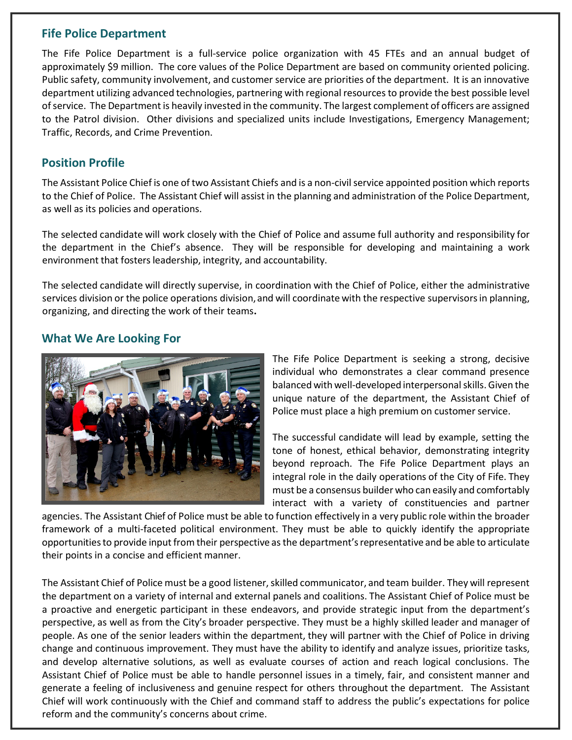#### **Fife Police Department**

The Fife Police Department is a full-service police organization with 45 FTEs and an annual budget of approximately \$9 million. The core values of the Police Department are based on community oriented policing. Public safety, community involvement, and customer service are priorities of the department. It is an innovative department utilizing advanced technologies, partnering with regional resources to provide the best possible level of service. The Department is heavily invested in the community. The largest complement of officers are assigned to the Patrol division. Other divisions and specialized units include Investigations, Emergency Management; Traffic, Records, and Crime Prevention.

#### **Position Profile**

The Assistant Police Chief is one of two Assistant Chiefs and is a non-civil service appointed position which reports to the Chief of Police. The Assistant Chief will assist in the planning and administration of the Police Department, as well as its policies and operations.

The selected candidate will work closely with the Chief of Police and assume full authority and responsibility for the department in the Chief's absence. They will be responsible for developing and maintaining a work environment that fosters leadership, integrity, and accountability.

The selected candidate will directly supervise, in coordination with the Chief of Police, either the administrative services division or the police operations division, and will coordinate with the respective supervisors in planning, organizing, and directing the work of their teams**.**

### **What We Are Looking For**



The Fife Police Department is seeking a strong, decisive individual who demonstrates a clear command presence balanced with well-developedinterpersonal skills.Given the unique nature of the department, the Assistant Chief of Police must place a high premium on customer service.

The successful candidate will lead by example, setting the tone of honest, ethical behavior, demonstrating integrity beyond reproach. The Fife Police Department plays an integral role in the daily operations of the City of Fife. They must be a consensus builder who can easily and comfortably interact with a variety of constituencies and partner

agencies. The Assistant Chief of Police must be able to function effectively in a very public role within the broader framework of a multi-faceted political environment. They must be able to quickly identify the appropriate opportunities to provide input from their perspective as the department's representative and be able to articulate their points in a concise and efficient manner.

The Assistant Chief of Police must be a good listener, skilled communicator, and team builder. They will represent the department on a variety of internal and external panels and coalitions. The Assistant Chief of Police must be a proactive and energetic participant in these endeavors, and provide strategic input from the department's perspective, as well as from the City's broader perspective. They must be a highly skilled leader and manager of people. As one of the senior leaders within the department, they will partner with the Chief of Police in driving change and continuous improvement. They must have the ability to identify and analyze issues, prioritize tasks, and develop alternative solutions, as well as evaluate courses of action and reach logical conclusions. The Assistant Chief of Police must be able to handle personnel issues in a timely, fair, and consistent manner and generate a feeling of inclusiveness and genuine respect for others throughout the department. The Assistant Chief will work continuously with the Chief and command staff to address the public's expectations for police reform and the community's concerns about crime.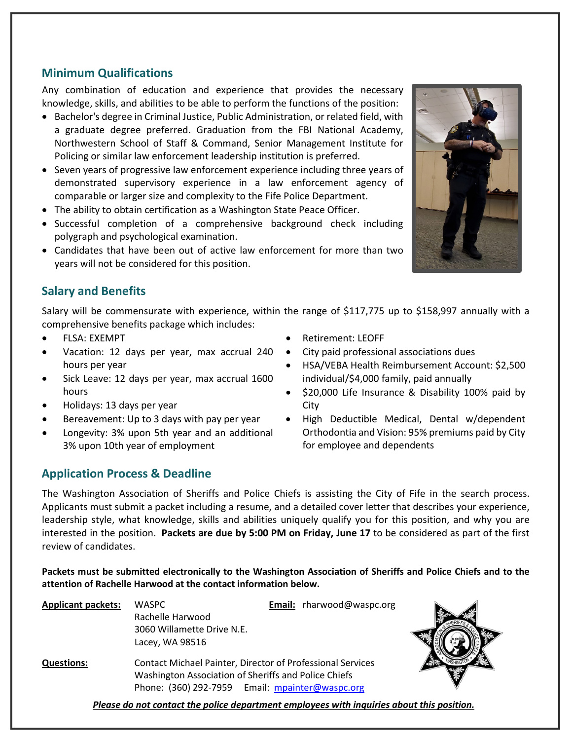# **Minimum Qualifications**

Any combination of education and experience that provides the necessary knowledge, skills, and abilities to be able to perform the functions of the position:

- Bachelor's degree in Criminal Justice, Public Administration, or related field, with a graduate degree preferred. Graduation from the FBI National Academy, Northwestern School of Staff & Command, Senior Management Institute for Policing or similar law enforcement leadership institution is preferred.
- Seven years of progressive law enforcement experience including three years of demonstrated supervisory experience in a law enforcement agency of comparable or larger size and complexity to the Fife Police Department.
- The ability to obtain certification as a Washington State Peace Officer.
- Successful completion of a comprehensive background check including polygraph and psychological examination.
- Candidates that have been out of active law enforcement for more than two years will not be considered for this position.

# **Salary and Benefits**

Salary will be commensurate with experience, within the range of \$117,775 up to \$158,997 annually with a comprehensive benefits package which includes:

- FLSA: EXEMPT
- Vacation: 12 days per year, max accrual 240 hours per year
- Sick Leave: 12 days per year, max accrual 1600 hours
- Holidays: 13 days per year
- Bereavement: Up to 3 days with pay per year
- Longevity: 3% upon 5th year and an additional 3% upon 10th year of employment
- Retirement: LEOFF
- City paid professional associations dues
- HSA/VEBA Health Reimbursement Account: \$2,500 individual/\$4,000 family, paid annually
- \$20,000 Life Insurance & Disability 100% paid by City
- High Deductible Medical, Dental w/dependent Orthodontia and Vision: 95% premiums paid by City for employee and dependents

### **Application Process & Deadline**

The Washington Association of Sheriffs and Police Chiefs is assisting the City of Fife in the search process. Applicants must submit a packet including a resume, and a detailed cover letter that describes your experience, leadership style, what knowledge, skills and abilities uniquely qualify you for this position, and why you are interested in the position. **Packets are due by 5:00 PM on Friday, June 17** to be considered as part of the first review of candidates.

**Packets must be submitted electronically to the Washington Association of Sheriffs and Police Chiefs and to the attention of Rachelle Harwood at the contact information below.** 

| <b>Applicant packets:</b>                                                                 | <b>WASPC</b>                                                      | Email: rharwood@waspc.org                       |  |
|-------------------------------------------------------------------------------------------|-------------------------------------------------------------------|-------------------------------------------------|--|
|                                                                                           | Rachelle Harwood                                                  |                                                 |  |
|                                                                                           | 3060 Willamette Drive N.E.                                        |                                                 |  |
|                                                                                           | Lacey, WA 98516                                                   |                                                 |  |
| <b>Questions:</b>                                                                         | <b>Contact Michael Painter, Director of Professional Services</b> |                                                 |  |
|                                                                                           | Washington Association of Sheriffs and Police Chiefs              |                                                 |  |
|                                                                                           |                                                                   | Phone: (360) 292-7959 Email: mpainter@waspc.org |  |
| Alance de not continutable nelles denominant condences criticisminister abendable nelles. |                                                                   |                                                 |  |

*Please do not contact the police department employees with inquiries about this position.*